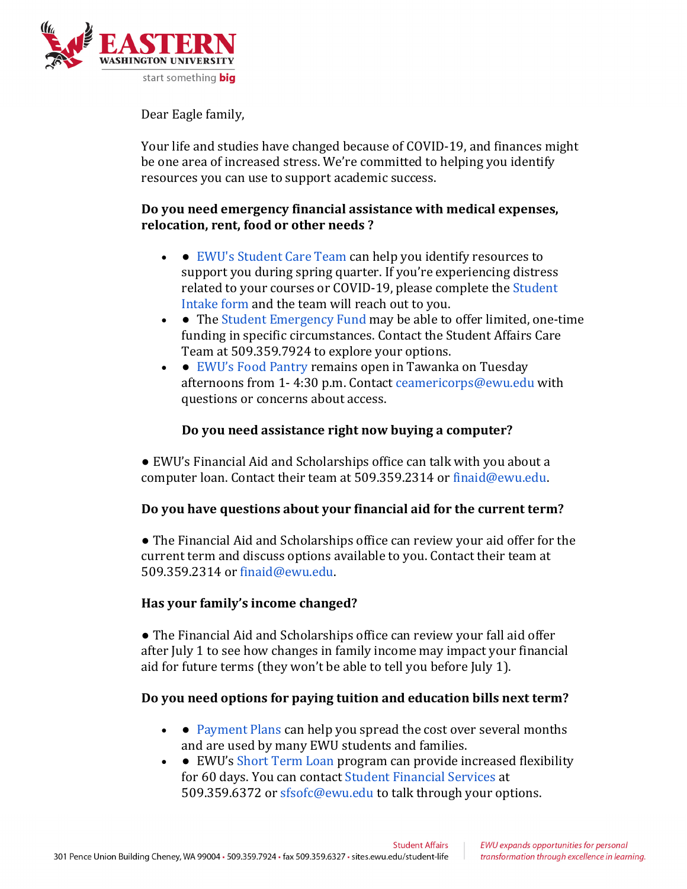

Dear Eagle family,

Your life and studies have changed because of COVID-19, and finances might be one area of increased stress. We're committed to helping you identify resources you can use to support academic success.

## Do you need emergency financial assistance with medical expenses, relocation, rent, food or other needs?

- EWU's Student Care Team can help you identify resources to support you during spring quarter. If you're experiencing distress related to your courses or COVID-19, please complete the Student Intake form and the team will reach out to you.
- The Student Emergency Fund may be able to offer limited, one-time funding in specific circumstances. Contact the Student Affairs Care Team at 509.359.7924 to explore your options.
- EWU's Food Pantry remains open in Tawanka on Tuesday afternoons from 1-4:30 p.m. Contact ceamericorps@ewu.edu with questions or concerns about access.

## Do you need assistance right now buying a computer?

● EWU's Financial Aid and Scholarships office can talk with you about a computer loan. Contact their team at 509.359.2314 or finaid@ewu.edu.

## Do you have questions about your financial aid for the current term?

• The Financial Aid and Scholarships office can review your aid offer for the current term and discuss options available to you. Contact their team at 509.359.2314 or finaid@ewu.edu.

## Has your family's income changed?

• The Financial Aid and Scholarships office can review your fall aid offer after July 1 to see how changes in family income may impact your financial aid for future terms (they won't be able to tell you before July 1).

# Do you need options for paying tuition and education bills next term?

- • Payment Plans can help you spread the cost over several months and are used by many EWU students and families.
- • EWU's Short Term Loan program can provide increased flexibility for 60 days. You can contact Student Financial Services at 509.359.6372 or sfsofc@ewu.edu to talk through your options.